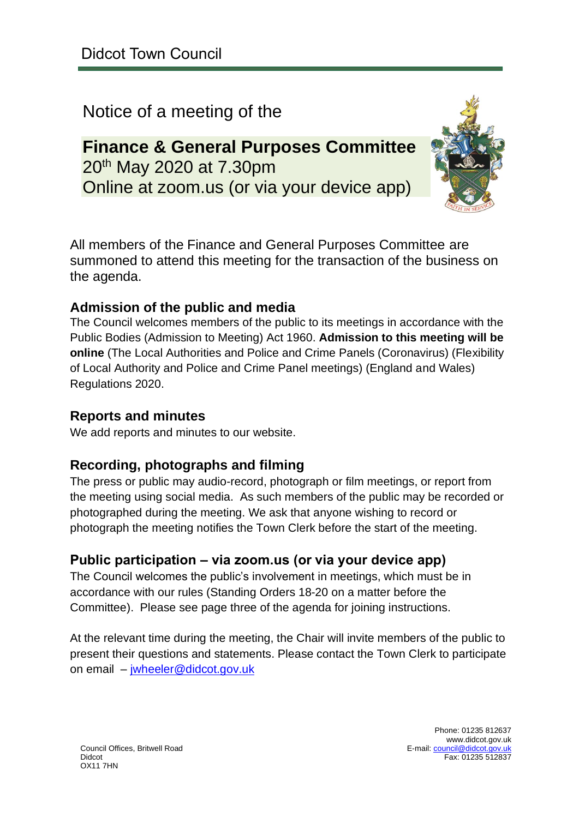## Notice of a meeting of the

## **Finance & General Purposes Committee** 20<sup>th</sup> May 2020 at 7.30pm Online at zoom.us (or via your device app)



All members of the Finance and General Purposes Committee are summoned to attend this meeting for the transaction of the business on the agenda.

### **Admission of the public and media**

The Council welcomes members of the public to its meetings in accordance with the Public Bodies (Admission to Meeting) Act 1960. **Admission to this meeting will be online** (The Local Authorities and Police and Crime Panels (Coronavirus) (Flexibility of Local Authority and Police and Crime Panel meetings) (England and Wales) Regulations 2020.

### **Reports and minutes**

We add reports and minutes to our website.

### **Recording, photographs and filming**

The press or public may audio-record, photograph or film meetings, or report from the meeting using social media. As such members of the public may be recorded or photographed during the meeting. We ask that anyone wishing to record or photograph the meeting notifies the Town Clerk before the start of the meeting.

### **Public participation – via zoom.us (or via your device app)**

The Council welcomes the public's involvement in meetings, which must be in accordance with our rules (Standing Orders 18-20 on a matter before the Committee). Please see page three of the agenda for joining instructions.

At the relevant time during the meeting, the Chair will invite members of the public to present their questions and statements. Please contact the Town Clerk to participate on email – [jwheeler@didcot.gov.uk](mailto:jwheeler@didcot.gov.uk)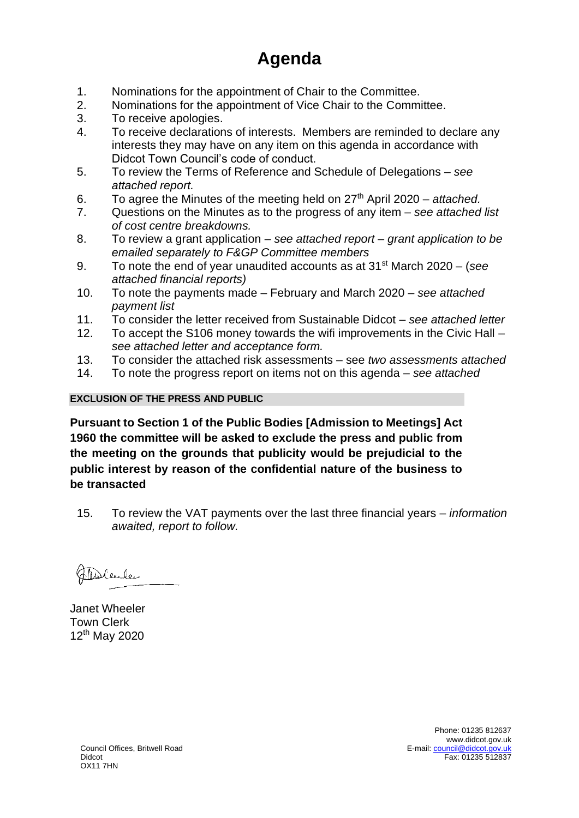# **Agenda**

- 1. Nominations for the appointment of Chair to the Committee.
- 2. Nominations for the appointment of Vice Chair to the Committee.
- 3. To receive apologies.
- 4. To receive declarations of interests. Members are reminded to declare any interests they may have on any item on this agenda in accordance with Didcot Town Council's code of conduct.
- 5. To review the Terms of Reference and Schedule of Delegations *see attached report.*
- 6. To agree the Minutes of the meeting held on 27th April 2020 *attached.*
- 7. Questions on the Minutes as to the progress of any item *see attached list of cost centre breakdowns.*
- 8. To review a grant application *see attached report – grant application to be emailed separately to F&GP Committee members*
- 9. To note the end of year unaudited accounts as at 31st March 2020 (*see attached financial reports)*
- 10. To note the payments made February and March 2020 *see attached payment list*
- 11. To consider the letter received from Sustainable Didcot *see attached letter*
- 12. To accept the S106 money towards the wifi improvements in the Civic Hall *see attached letter and acceptance form.*
- 13. To consider the attached risk assessments see *two assessments attached*
- 14. To note the progress report on items not on this agenda *see attached*

#### **EXCLUSION OF THE PRESS AND PUBLIC**

**Pursuant to Section 1 of the Public Bodies [Admission to Meetings] Act 1960 the committee will be asked to exclude the press and public from the meeting on the grounds that publicity would be prejudicial to the public interest by reason of the confidential nature of the business to be transacted**

15. To review the VAT payments over the last three financial years – *information awaited, report to follow.*

Fableuler

Janet Wheeler Town Clerk 12th May 2020